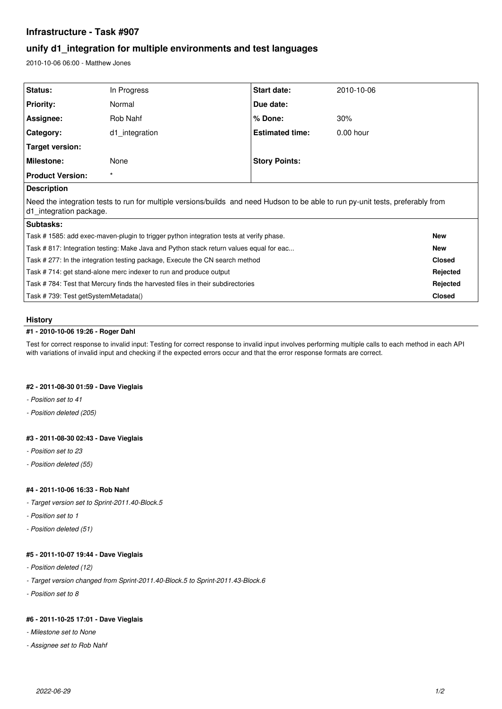# **Infrastructure - Task #907**

# **unify d1\_integration for multiple environments and test languages**

2010-10-06 06:00 - Matthew Jones

| Status:                                                                                                                                                    | In Progress    | Start date:            | 2010-10-06  |               |
|------------------------------------------------------------------------------------------------------------------------------------------------------------|----------------|------------------------|-------------|---------------|
| <b>Priority:</b>                                                                                                                                           | Normal         | Due date:              |             |               |
| Assignee:                                                                                                                                                  | Rob Nahf       | % Done:                | 30%         |               |
| Category:                                                                                                                                                  | d1 integration | <b>Estimated time:</b> | $0.00$ hour |               |
| Target version:                                                                                                                                            |                |                        |             |               |
| <b>Milestone:</b>                                                                                                                                          | None           | <b>Story Points:</b>   |             |               |
| <b>Product Version:</b>                                                                                                                                    | $\star$        |                        |             |               |
| <b>Description</b>                                                                                                                                         |                |                        |             |               |
| Need the integration tests to run for multiple versions/builds and need Hudson to be able to run py-unit tests, preferably from<br>d1 integration package. |                |                        |             |               |
| Subtasks:                                                                                                                                                  |                |                        |             |               |
| Task # 1585: add exec-maven-plugin to trigger python integration tests at verify phase.                                                                    |                |                        |             | <b>New</b>    |
| Task # 817: Integration testing: Make Java and Python stack return values equal for eac                                                                    |                |                        |             | <b>New</b>    |
| Task # 277: In the integration testing package, Execute the CN search method                                                                               |                |                        |             | <b>Closed</b> |
| Task #714: get stand-alone merc indexer to run and produce output                                                                                          |                |                        |             | Rejected      |
| Task #784: Test that Mercury finds the harvested files in their subdirectories                                                                             |                |                        |             | Rejected      |
| Task #739: Test getSystemMetadata()                                                                                                                        |                |                        |             | <b>Closed</b> |

# **History**

## **#1 - 2010-10-06 19:26 - Roger Dahl**

Test for correct response to invalid input: Testing for correct response to invalid input involves performing multiple calls to each method in each API with variations of invalid input and checking if the expected errors occur and that the error response formats are correct.

#### **#2 - 2011-08-30 01:59 - Dave Vieglais**

- *Position set to 41*
- *Position deleted (205)*

## **#3 - 2011-08-30 02:43 - Dave Vieglais**

- *Position set to 23*
- *Position deleted (55)*

#### **#4 - 2011-10-06 16:33 - Rob Nahf**

- *Target version set to Sprint-2011.40-Block.5*
- *Position set to 1*
- *Position deleted (51)*

#### **#5 - 2011-10-07 19:44 - Dave Vieglais**

- *Position deleted (12)*
- *Target version changed from Sprint-2011.40-Block.5 to Sprint-2011.43-Block.6*
- *Position set to 8*

#### **#6 - 2011-10-25 17:01 - Dave Vieglais**

- *Milestone set to None*
- *Assignee set to Rob Nahf*